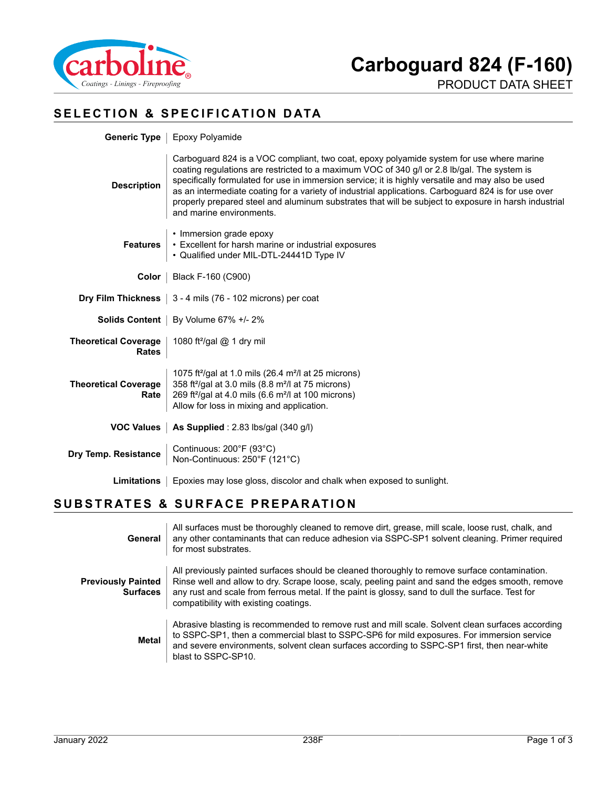

PRODUCT DATA SHEET

### **SELECTION & SPECIFICATION DATA**

|                                             | <b>Generic Type</b>   Epoxy Polyamide                                                                                                                                                                                                                                                                                                                                                                                                                                                                                                   |  |
|---------------------------------------------|-----------------------------------------------------------------------------------------------------------------------------------------------------------------------------------------------------------------------------------------------------------------------------------------------------------------------------------------------------------------------------------------------------------------------------------------------------------------------------------------------------------------------------------------|--|
| <b>Description</b>                          | Carboguard 824 is a VOC compliant, two coat, epoxy polyamide system for use where marine<br>coating regulations are restricted to a maximum VOC of 340 g/l or 2.8 lb/gal. The system is<br>specifically formulated for use in immersion service; it is highly versatile and may also be used<br>as an intermediate coating for a variety of industrial applications. Carboguard 824 is for use over<br>properly prepared steel and aluminum substrates that will be subject to exposure in harsh industrial<br>and marine environments. |  |
| <b>Features</b>                             | • Immersion grade epoxy<br>• Excellent for harsh marine or industrial exposures<br>• Qualified under MIL-DTL-24441D Type IV                                                                                                                                                                                                                                                                                                                                                                                                             |  |
|                                             | <b>Color</b>   Black F-160 (C900)                                                                                                                                                                                                                                                                                                                                                                                                                                                                                                       |  |
|                                             | <b>Dry Film Thickness</b> $\vert$ 3 - 4 mils (76 - 102 microns) per coat                                                                                                                                                                                                                                                                                                                                                                                                                                                                |  |
|                                             | <b>Solids Content</b>   By Volume 67% +/- 2%                                                                                                                                                                                                                                                                                                                                                                                                                                                                                            |  |
| <b>Theoretical Coverage</b><br><b>Rates</b> | 1080 ft <sup>2</sup> /gal @ 1 dry mil                                                                                                                                                                                                                                                                                                                                                                                                                                                                                                   |  |
| <b>Theoretical Coverage</b><br>Rate         | 1075 ft <sup>2</sup> /gal at 1.0 mils (26.4 m <sup>2</sup> /l at 25 microns)<br>358 ft <sup>2</sup> /gal at 3.0 mils (8.8 m <sup>2</sup> /l at 75 microns)<br>269 ft <sup>2</sup> /gal at 4.0 mils (6.6 m <sup>2</sup> /l at 100 microns)<br>Allow for loss in mixing and application.                                                                                                                                                                                                                                                  |  |
|                                             | VOC Values   As Supplied : 2.83 lbs/gal (340 g/l)                                                                                                                                                                                                                                                                                                                                                                                                                                                                                       |  |
| Dry Temp. Resistance                        | Continuous: 200°F (93°C)<br>Non-Continuous: 250°F (121°C)                                                                                                                                                                                                                                                                                                                                                                                                                                                                               |  |
| Limitations                                 | Epoxies may lose gloss, discolor and chalk when exposed to sunlight.                                                                                                                                                                                                                                                                                                                                                                                                                                                                    |  |

#### **SUBSTRATES & SURFACE PREPARATION**

| General                                      | All surfaces must be thoroughly cleaned to remove dirt, grease, mill scale, loose rust, chalk, and<br>any other contaminants that can reduce adhesion via SSPC-SP1 solvent cleaning. Primer required<br>for most substrates.                                                                                                                     |
|----------------------------------------------|--------------------------------------------------------------------------------------------------------------------------------------------------------------------------------------------------------------------------------------------------------------------------------------------------------------------------------------------------|
| <b>Previously Painted</b><br><b>Surfaces</b> | All previously painted surfaces should be cleaned thoroughly to remove surface contamination.<br>Rinse well and allow to dry. Scrape loose, scaly, peeling paint and sand the edges smooth, remove<br>any rust and scale from ferrous metal. If the paint is glossy, sand to dull the surface. Test for<br>compatibility with existing coatings. |
| <b>Metal</b>                                 | Abrasive blasting is recommended to remove rust and mill scale. Solvent clean surfaces according<br>to SSPC-SP1, then a commercial blast to SSPC-SP6 for mild exposures. For immersion service<br>and severe environments, solvent clean surfaces according to SSPC-SP1 first, then near-white<br>blast to SSPC-SP10.                            |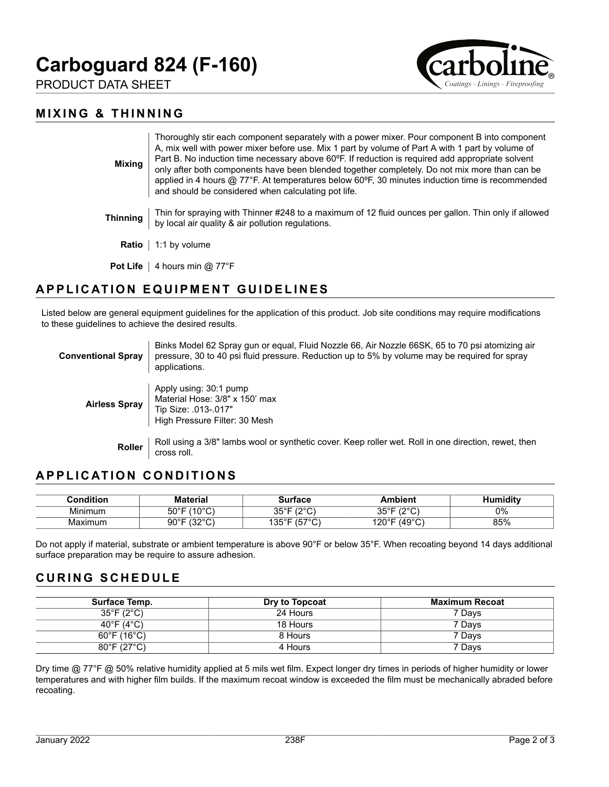# **Carboguard 824 (F-160)**

PRODUCT DATA SHEET



#### **MIXING & THINNING**

| <b>Mixing</b>   | Thoroughly stir each component separately with a power mixer. Pour component B into component<br>A, mix well with power mixer before use. Mix 1 part by volume of Part A with 1 part by volume of<br>Part B. No induction time necessary above 60°F. If reduction is required add appropriate solvent<br>only after both components have been blended together completely. Do not mix more than can be<br>applied in 4 hours $@$ 77°F. At temperatures below 60°F, 30 minutes induction time is recommended<br>and should be considered when calculating pot life. |
|-----------------|--------------------------------------------------------------------------------------------------------------------------------------------------------------------------------------------------------------------------------------------------------------------------------------------------------------------------------------------------------------------------------------------------------------------------------------------------------------------------------------------------------------------------------------------------------------------|
| <b>Thinning</b> | Thin for spraying with Thinner #248 to a maximum of 12 fluid ounces per gallon. Thin only if allowed<br>by local air quality & air pollution regulations.                                                                                                                                                                                                                                                                                                                                                                                                          |
| Ratio           | 1:1 by volume                                                                                                                                                                                                                                                                                                                                                                                                                                                                                                                                                      |
| <b>Pot Life</b> | 4 hours min @ 77°F                                                                                                                                                                                                                                                                                                                                                                                                                                                                                                                                                 |

# **APPLICATION EQUIPMENT GUIDELINES**

Listed below are general equipment guidelines for the application of this product. Job site conditions may require modifications to these guidelines to achieve the desired results.

| <b>Conventional Spray</b> | Binks Model 62 Spray gun or equal, Fluid Nozzle 66, Air Nozzle 66SK, 65 to 70 psi atomizing air<br>pressure, 30 to 40 psi fluid pressure. Reduction up to 5% by volume may be required for spray<br>applications. |
|---------------------------|-------------------------------------------------------------------------------------------------------------------------------------------------------------------------------------------------------------------|
| <b>Airless Spray</b>      | Apply using: 30:1 pump<br>Material Hose: 3/8" x 150' max<br>Tip Size: .013-.017"<br>High Pressure Filter: 30 Mesh                                                                                                 |
| <b>Roller</b>             | Roll using a 3/8" lambs wool or synthetic cover. Keep roller wet. Roll in one direction, rewet, then<br>cross roll.                                                                                               |

# **APPLICATION CONDITIONS**

| <b>Condition:</b> | Material                                | urtaco                                    | Ambient                         | iditv<br>11 <sup>th</sup> |
|-------------------|-----------------------------------------|-------------------------------------------|---------------------------------|---------------------------|
| Minimum           | (100)<br>⊼∩ಿ⊏<br>טו<br><u>. ن</u><br>UU | $100^{\circ}$<br>ח∘∍מ<br>ັບ<br>. <u>.</u> | 1000<br><b>OFOF</b><br>ັບປ<br>◡ | 0%                        |
| Maximum           | (0.000)<br>∩∩∘г<br>ອບ<br>ັ<br>. J .     | $1 - 70$<br>ィウに○□<br>◡<br>◡<br>∣ບບ        | (49°C)<br>120°F                 | 85%                       |

Do not apply if material, substrate or ambient temperature is above 90°F or below 35°F. When recoating beyond 14 days additional surface preparation may be require to assure adhesion.

#### **CURING SCHEDULE**

| Surface Temp.                    | Dry to Topcoat | Maximum Recoat |
|----------------------------------|----------------|----------------|
| $35^{\circ}$ F (2 $^{\circ}$ C)  | 24 Hours       | 7 Days         |
| 40°F (4°C)                       | 18 Hours       | 7 Days         |
| $60^\circ$ F (16 $^\circ$ C)     | 8 Hours        | 7 Davs         |
| $80^{\circ}$ F (27 $^{\circ}$ C) | 4 Hours        | 7 Days         |

Dry time @ 77°F @ 50% relative humidity applied at 5 mils wet film. Expect longer dry times in periods of higher humidity or lower temperatures and with higher film builds. If the maximum recoat window is exceeded the film must be mechanically abraded before recoating.